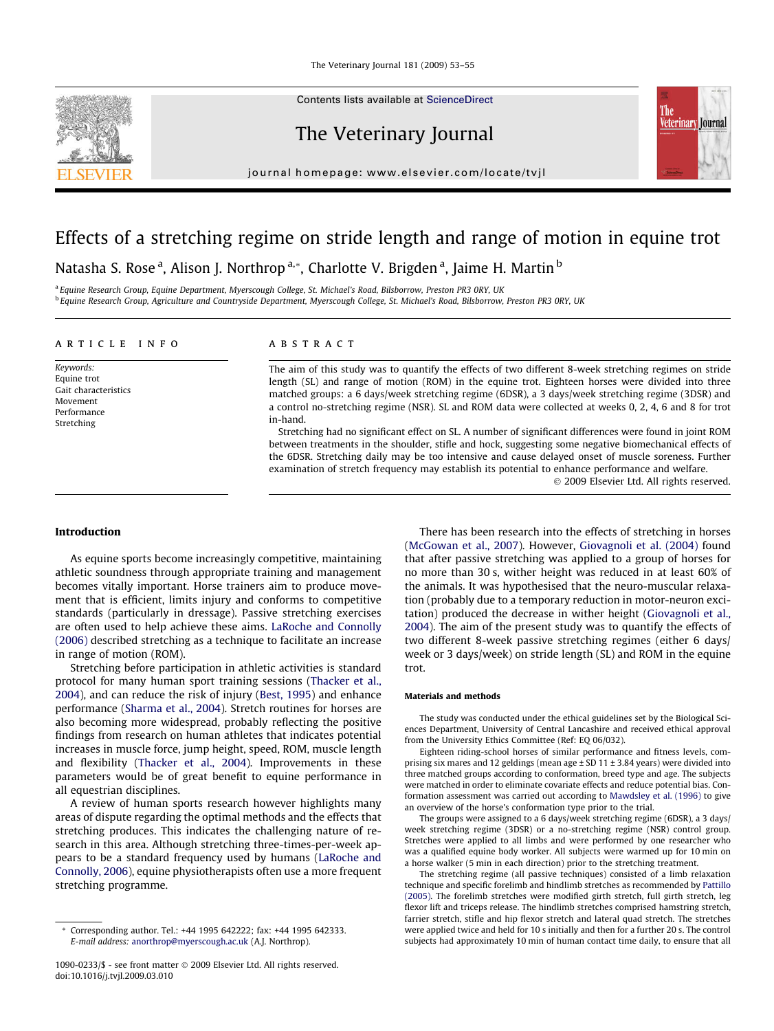The Veterinary Journal 181 (2009) 53–55

Contents lists available at [ScienceDirect](http://www.sciencedirect.com/science/journal/10900233)

# The Veterinary Journal

journal homepage: [www.elsevier.com/locate/tvjl](http://www.elsevier.com/locate/tvjl)

# Effects of a stretching regime on stride length and range of motion in equine trot

Natasha S. Rose <sup>a</sup>, Alison J. Northrop <sup>a,</sup>\*, Charlotte V. Brigden <sup>a</sup>, Jaime H. Martin <sup>b</sup>

<sup>a</sup> Equine Research Group, Equine Department, Myerscough College, St. Michael's Road, Bilsborrow, Preston PR3 0RY. UK <sup>b</sup> Equine Research Group, Agriculture and Countryside Department, Myerscough College, St. Michael's Road, Bilsborrow, Preston PR3 0RY, UK

#### article info

Keywords: Equine trot Gait characteristics Movement Performance Stretching

# ABSTRACT

The aim of this study was to quantify the effects of two different 8-week stretching regimes on stride length (SL) and range of motion (ROM) in the equine trot. Eighteen horses were divided into three matched groups: a 6 days/week stretching regime (6DSR), a 3 days/week stretching regime (3DSR) and a control no-stretching regime (NSR). SL and ROM data were collected at weeks 0, 2, 4, 6 and 8 for trot in-hand.

Stretching had no significant effect on SL. A number of significant differences were found in joint ROM between treatments in the shoulder, stifle and hock, suggesting some negative biomechanical effects of the 6DSR. Stretching daily may be too intensive and cause delayed onset of muscle soreness. Further examination of stretch frequency may establish its potential to enhance performance and welfare.

- 2009 Elsevier Ltd. All rights reserved.

The

**Veterinary Journal** 

#### Introduction

As equine sports become increasingly competitive, maintaining athletic soundness through appropriate training and management becomes vitally important. Horse trainers aim to produce movement that is efficient, limits injury and conforms to competitive standards (particularly in dressage). Passive stretching exercises are often used to help achieve these aims. [LaRoche and Connolly](#page-2-0) [\(2006\)](#page-2-0) described stretching as a technique to facilitate an increase in range of motion (ROM).

Stretching before participation in athletic activities is standard protocol for many human sport training sessions [\(Thacker et al.,](#page-2-0) [2004](#page-2-0)), and can reduce the risk of injury [\(Best, 1995\)](#page-2-0) and enhance performance [\(Sharma et al., 2004\)](#page-2-0). Stretch routines for horses are also becoming more widespread, probably reflecting the positive findings from research on human athletes that indicates potential increases in muscle force, jump height, speed, ROM, muscle length and flexibility ([Thacker et al., 2004\)](#page-2-0). Improvements in these parameters would be of great benefit to equine performance in all equestrian disciplines.

A review of human sports research however highlights many areas of dispute regarding the optimal methods and the effects that stretching produces. This indicates the challenging nature of research in this area. Although stretching three-times-per-week appears to be a standard frequency used by humans [\(LaRoche and](#page-2-0) [Connolly, 2006\)](#page-2-0), equine physiotherapists often use a more frequent stretching programme.

There has been research into the effects of stretching in horses ([McGowan et al., 2007](#page-2-0)). However, [Giovagnoli et al. \(2004\)](#page-2-0) found that after passive stretching was applied to a group of horses for no more than 30 s, wither height was reduced in at least 60% of the animals. It was hypothesised that the neuro-muscular relaxation (probably due to a temporary reduction in motor-neuron excitation) produced the decrease in wither height [\(Giovagnoli et al.,](#page-2-0) [2004](#page-2-0)). The aim of the present study was to quantify the effects of two different 8-week passive stretching regimes (either 6 days/ week or 3 days/week) on stride length (SL) and ROM in the equine trot.

#### Materials and methods

The study was conducted under the ethical guidelines set by the Biological Sciences Department, University of Central Lancashire and received ethical approval from the University Ethics Committee (Ref: EQ 06/032).

Eighteen riding-school horses of similar performance and fitness levels, comprising six mares and 12 geldings (mean age ± SD 11 ± 3.84 years) were divided into three matched groups according to conformation, breed type and age. The subjects were matched in order to eliminate covariate effects and reduce potential bias. Conformation assessment was carried out according to [Mawdsley et al. \(1996\)](#page-2-0) to give an overview of the horse's conformation type prior to the trial.

The groups were assigned to a 6 days/week stretching regime (6DSR), a 3 days/ week stretching regime (3DSR) or a no-stretching regime (NSR) control group. Stretches were applied to all limbs and were performed by one researcher who was a qualified equine body worker. All subjects were warmed up for 10 min on a horse walker (5 min in each direction) prior to the stretching treatment.

The stretching regime (all passive techniques) consisted of a limb relaxation technique and specific forelimb and hindlimb stretches as recommended by [Pattillo](#page-2-0) [\(2005\)](#page-2-0). The forelimb stretches were modified girth stretch, full girth stretch, leg flexor lift and triceps release. The hindlimb stretches comprised hamstring stretch, farrier stretch, stifle and hip flexor stretch and lateral quad stretch. The stretches were applied twice and held for 10 s initially and then for a further 20 s. The control subjects had approximately 10 min of human contact time daily, to ensure that all



Corresponding author. Tel.: +44 1995 642222; fax: +44 1995 642333. E-mail address: [anorthrop@myerscough.ac.uk](mailto:anorthrop@myerscough.ac.uk) (A.J. Northrop).

<sup>1090-0233/\$ -</sup> see front matter @ 2009 Elsevier Ltd. All rights reserved. doi:10.1016/j.tvjl.2009.03.010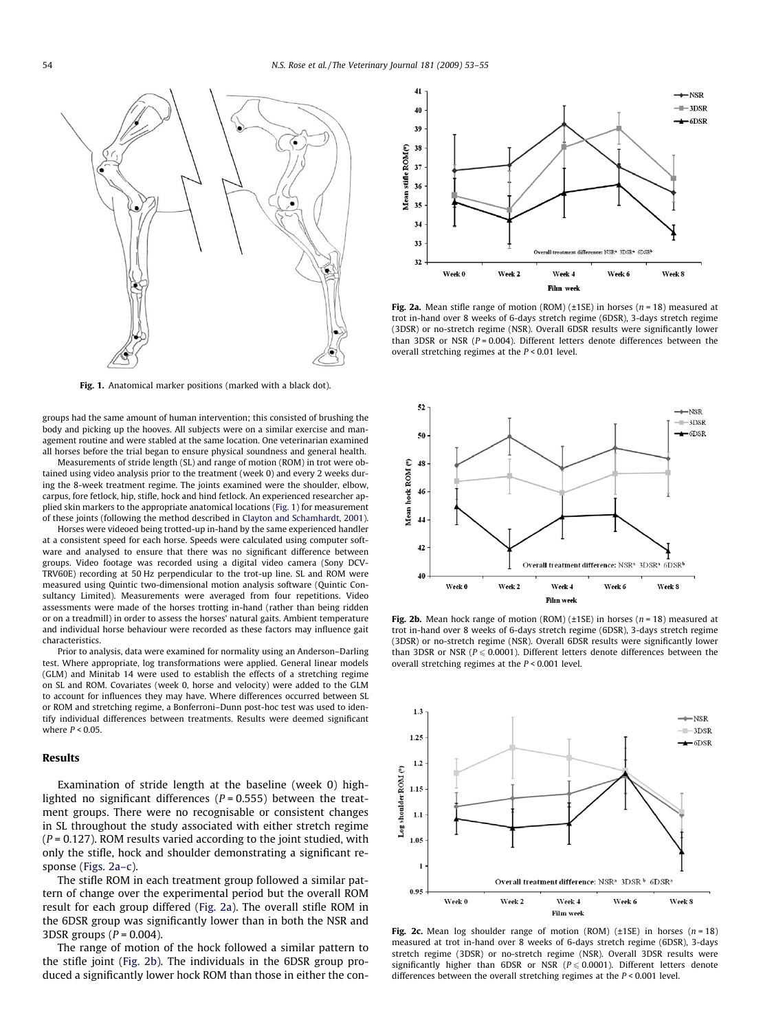<span id="page-1-0"></span>

Fig. 1. Anatomical marker positions (marked with a black dot).

groups had the same amount of human intervention; this consisted of brushing the body and picking up the hooves. All subjects were on a similar exercise and management routine and were stabled at the same location. One veterinarian examined all horses before the trial began to ensure physical soundness and general health.

Measurements of stride length (SL) and range of motion (ROM) in trot were obtained using video analysis prior to the treatment (week 0) and every 2 weeks during the 8-week treatment regime. The joints examined were the shoulder, elbow, carpus, fore fetlock, hip, stifle, hock and hind fetlock. An experienced researcher applied skin markers to the appropriate anatomical locations (Fig. 1) for measurement of these joints (following the method described in [Clayton and Schamhardt, 2001\)](#page-2-0).

Horses were videoed being trotted-up in-hand by the same experienced handler at a consistent speed for each horse. Speeds were calculated using computer software and analysed to ensure that there was no significant difference between groups. Video footage was recorded using a digital video camera (Sony DCV-TRV60E) recording at 50 Hz perpendicular to the trot-up line. SL and ROM were measured using Quintic two-dimensional motion analysis software (Quintic Consultancy Limited). Measurements were averaged from four repetitions. Video assessments were made of the horses trotting in-hand (rather than being ridden or on a treadmill) in order to assess the horses' natural gaits. Ambient temperature and individual horse behaviour were recorded as these factors may influence gait characteristics.

Prior to analysis, data were examined for normality using an Anderson–Darling test. Where appropriate, log transformations were applied. General linear models (GLM) and Minitab 14 were used to establish the effects of a stretching regime on SL and ROM. Covariates (week 0, horse and velocity) were added to the GLM to account for influences they may have. Where differences occurred between SL or ROM and stretching regime, a Bonferroni–Dunn post-hoc test was used to identify individual differences between treatments. Results were deemed significant where  $P < 0.05$ 

#### Results

Examination of stride length at the baseline (week 0) highlighted no significant differences ( $P = 0.555$ ) between the treatment groups. There were no recognisable or consistent changes in SL throughout the study associated with either stretch regime  $(P = 0.127)$ . ROM results varied according to the joint studied, with only the stifle, hock and shoulder demonstrating a significant response (Figs. 2a–c).

The stifle ROM in each treatment group followed a similar pattern of change over the experimental period but the overall ROM result for each group differed (Fig. 2a). The overall stifle ROM in the 6DSR group was significantly lower than in both the NSR and 3DSR groups  $(P = 0.004)$ .

The range of motion of the hock followed a similar pattern to the stifle joint (Fig. 2b). The individuals in the 6DSR group produced a significantly lower hock ROM than those in either the con-



Fig. 2a. Mean stifle range of motion (ROM) ( $\pm$ 1SE) in horses ( $n = 18$ ) measured at trot in-hand over 8 weeks of 6-days stretch regime (6DSR), 3-days stretch regime (3DSR) or no-stretch regime (NSR). Overall 6DSR results were significantly lower than 3DSR or NSR ( $P = 0.004$ ). Different letters denote differences between the overall stretching regimes at the  $P < 0.01$  level.



Fig. 2b. Mean hock range of motion (ROM) ( $\pm$ 1SE) in horses ( $n = 18$ ) measured at trot in-hand over 8 weeks of 6-days stretch regime (6DSR), 3-days stretch regime (3DSR) or no-stretch regime (NSR). Overall 6DSR results were significantly lower than 3DSR or NSR ( $P \le 0.0001$ ). Different letters denote differences between the overall stretching regimes at the  $P < 0.001$  level.



Fig. 2c. Mean log shoulder range of motion (ROM) ( $\pm$ 1SE) in horses ( $n = 18$ ) measured at trot in-hand over 8 weeks of 6-days stretch regime (6DSR), 3-days stretch regime (3DSR) or no-stretch regime (NSR). Overall 3DSR results were significantly higher than 6DSR or NSR ( $P \le 0.0001$ ). Different letters denote differences between the overall stretching regimes at the  $P < 0.001$  level.